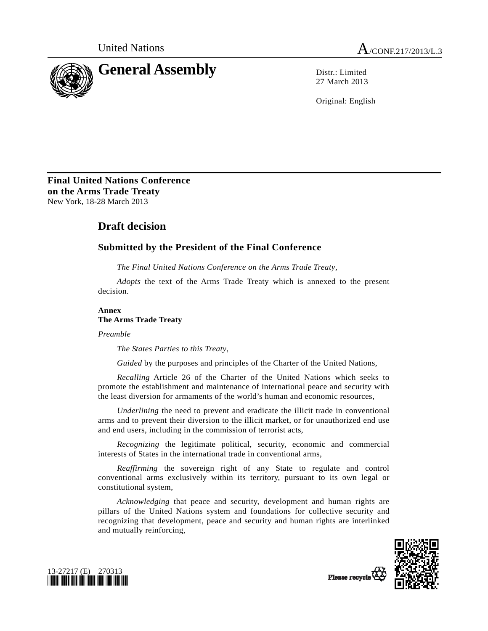

27 March 2013

Original: English

**Final United Nations Conference on the Arms Trade Treaty**  New York, 18-28 March 2013

# **Draft decision**

# **Submitted by the President of the Final Conference**

*The Final United Nations Conference on the Arms Trade Treaty*,

*Adopts* the text of the Arms Trade Treaty which is annexed to the present decision.

# **Annex**

# **The Arms Trade Treaty**

 *Preamble* 

*The States Parties to this Treaty*,

*Guided* by the purposes and principles of the Charter of the United Nations,

*Recalling* Article 26 of the Charter of the United Nations which seeks to promote the establishment and maintenance of international peace and security with the least diversion for armaments of the world's human and economic resources,

*Underlining* the need to prevent and eradicate the illicit trade in conventional arms and to prevent their diversion to the illicit market, or for unauthorized end use and end users, including in the commission of terrorist acts,

*Recognizing* the legitimate political, security, economic and commercial interests of States in the international trade in conventional arms,

*Reaffirming* the sovereign right of any State to regulate and control conventional arms exclusively within its territory, pursuant to its own legal or constitutional system,

*Acknowledging* that peace and security, development and human rights are pillars of the United Nations system and foundations for collective security and recognizing that development, peace and security and human rights are interlinked and mutually reinforcing,



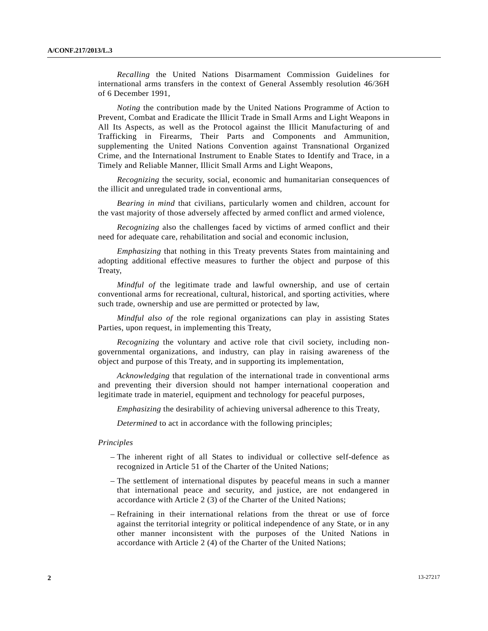*Recalling* the United Nations Disarmament Commission Guidelines for international arms transfers in the context of General Assembly resolution 46/36H of 6 December 1991,

*Noting* the contribution made by the United Nations Programme of Action to Prevent, Combat and Eradicate the Illicit Trade in Small Arms and Light Weapons in All Its Aspects, as well as the Protocol against the Illicit Manufacturing of and Trafficking in Firearms, Their Parts and Components and Ammunition, supplementing the United Nations Convention against Transnational Organized Crime, and the International Instrument to Enable States to Identify and Trace, in a Timely and Reliable Manner, Illicit Small Arms and Light Weapons,

*Recognizing* the security, social, economic and humanitarian consequences of the illicit and unregulated trade in conventional arms,

*Bearing in mind* that civilians, particularly women and children, account for the vast majority of those adversely affected by armed conflict and armed violence,

*Recognizing* also the challenges faced by victims of armed conflict and their need for adequate care, rehabilitation and social and economic inclusion,

*Emphasizing* that nothing in this Treaty prevents States from maintaining and adopting additional effective measures to further the object and purpose of this Treaty,

*Mindful of* the legitimate trade and lawful ownership, and use of certain conventional arms for recreational, cultural, historical, and sporting activities, where such trade, ownership and use are permitted or protected by law,

*Mindful also of* the role regional organizations can play in assisting States Parties, upon request, in implementing this Treaty,

*Recognizing* the voluntary and active role that civil society, including nongovernmental organizations, and industry, can play in raising awareness of the object and purpose of this Treaty, and in supporting its implementation,

*Acknowledging* that regulation of the international trade in conventional arms and preventing their diversion should not hamper international cooperation and legitimate trade in materiel, equipment and technology for peaceful purposes,

*Emphasizing* the desirability of achieving universal adherence to this Treaty,

*Determined* to act in accordance with the following principles;

# *Principles*

- The inherent right of all States to individual or collective self-defence as recognized in Article 51 of the Charter of the United Nations;
- The settlement of international disputes by peaceful means in such a manner that international peace and security, and justice, are not endangered in accordance with Article 2 (3) of the Charter of the United Nations;
- Refraining in their international relations from the threat or use of force against the territorial integrity or political independence of any State, or in any other manner inconsistent with the purposes of the United Nations in accordance with Article 2 (4) of the Charter of the United Nations;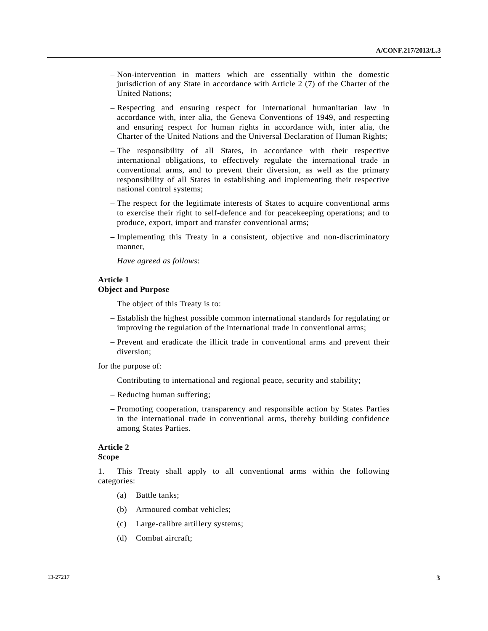- Non-intervention in matters which are essentially within the domestic jurisdiction of any State in accordance with Article 2 (7) of the Charter of the United Nations;
- Respecting and ensuring respect for international humanitarian law in accordance with, inter alia, the Geneva Conventions of 1949, and respecting and ensuring respect for human rights in accordance with, inter alia, the Charter of the United Nations and the Universal Declaration of Human Rights;
- The responsibility of all States, in accordance with their respective international obligations, to effectively regulate the international trade in conventional arms, and to prevent their diversion, as well as the primary responsibility of all States in establishing and implementing their respective national control systems;
- The respect for the legitimate interests of States to acquire conventional arms to exercise their right to self-defence and for peacekeeping operations; and to produce, export, import and transfer conventional arms;
- Implementing this Treaty in a consistent, objective and non-discriminatory manner,

*Have agreed as follows*:

# **Article 1 Object and Purpose**

The object of this Treaty is to:

- Establish the highest possible common international standards for regulating or improving the regulation of the international trade in conventional arms;
- Prevent and eradicate the illicit trade in conventional arms and prevent their diversion;

for the purpose of:

- Contributing to international and regional peace, security and stability;
- Reducing human suffering;
- Promoting cooperation, transparency and responsible action by States Parties in the international trade in conventional arms, thereby building confidence among States Parties.

#### **Article 2 Scope**

1. This Treaty shall apply to all conventional arms within the following categories:

- (a) Battle tanks;
- (b) Armoured combat vehicles;
- (c) Large-calibre artillery systems;
- (d) Combat aircraft;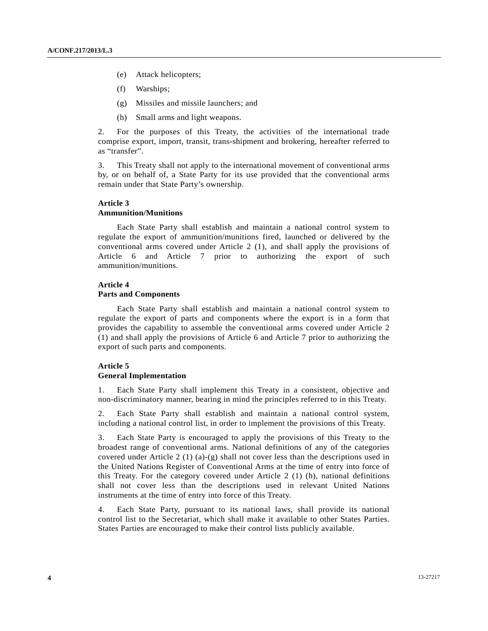- (e) Attack helicopters;
- (f) Warships;
- (g) Missiles and missile launchers; and
- (h) Small arms and light weapons.

2. For the purposes of this Treaty, the activities of the international trade comprise export, import, transit, trans-shipment and brokering, hereafter referred to as "transfer".

3. This Treaty shall not apply to the international movement of conventional arms by, or on behalf of, a State Party for its use provided that the conventional arms remain under that State Party's ownership.

#### **Article 3**

#### **Ammunition/Munitions**

 Each State Party shall establish and maintain a national control system to regulate the export of ammunition/munitions fired, launched or delivered by the conventional arms covered under Article 2 (1), and shall apply the provisions of Article 6 and Article 7 prior to authorizing the export of such ammunition/munitions.

#### **Article 4**

#### **Parts and Components**

 Each State Party shall establish and maintain a national control system to regulate the export of parts and components where the export is in a form that provides the capability to assemble the conventional arms covered under Article 2 (1) and shall apply the provisions of Article 6 and Article 7 prior to authorizing the export of such parts and components.

#### **Article 5**

#### **General Implementation**

1. Each State Party shall implement this Treaty in a consistent, objective and non-discriminatory manner, bearing in mind the principles referred to in this Treaty.

2. Each State Party shall establish and maintain a national control system, including a national control list, in order to implement the provisions of this Treaty.

3. Each State Party is encouraged to apply the provisions of this Treaty to the broadest range of conventional arms. National definitions of any of the categories covered under Article 2 (1) (a)-(g) shall not cover less than the descriptions used in the United Nations Register of Conventional Arms at the time of entry into force of this Treaty. For the category covered under Article  $2(1)$  (h), national definitions shall not cover less than the descriptions used in relevant United Nations instruments at the time of entry into force of this Treaty.

4. Each State Party, pursuant to its national laws, shall provide its national control list to the Secretariat, which shall make it available to other States Parties. States Parties are encouraged to make their control lists publicly available.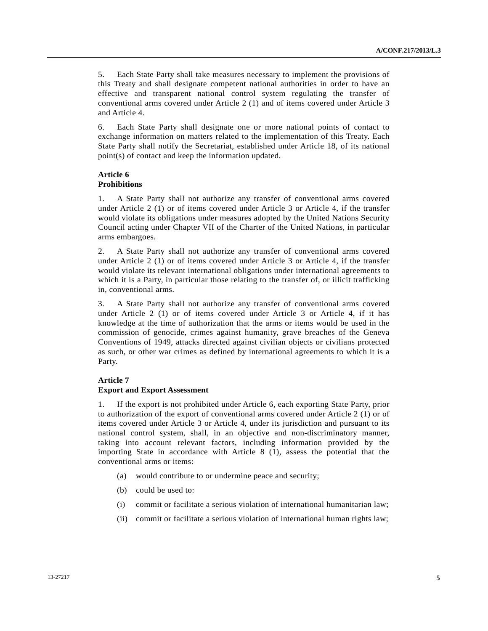5. Each State Party shall take measures necessary to implement the provisions of this Treaty and shall designate competent national authorities in order to have an effective and transparent national control system regulating the transfer of conventional arms covered under Article 2 (1) and of items covered under Article 3 and Article 4.

6. Each State Party shall designate one or more national points of contact to exchange information on matters related to the implementation of this Treaty. Each State Party shall notify the Secretariat, established under Article 18, of its national point(s) of contact and keep the information updated.

# **Article 6 Prohibitions**

1. A State Party shall not authorize any transfer of conventional arms covered under Article 2 (1) or of items covered under Article 3 or Article 4, if the transfer would violate its obligations under measures adopted by the United Nations Security Council acting under Chapter VII of the Charter of the United Nations, in particular arms embargoes.

2. A State Party shall not authorize any transfer of conventional arms covered under Article 2 (1) or of items covered under Article 3 or Article 4, if the transfer would violate its relevant international obligations under international agreements to which it is a Party, in particular those relating to the transfer of, or illicit trafficking in, conventional arms.

3. A State Party shall not authorize any transfer of conventional arms covered under Article 2 (1) or of items covered under Article 3 or Article 4, if it has knowledge at the time of authorization that the arms or items would be used in the commission of genocide, crimes against humanity, grave breaches of the Geneva Conventions of 1949, attacks directed against civilian objects or civilians protected as such, or other war crimes as defined by international agreements to which it is a Party.

#### **Article 7**

#### **Export and Export Assessment**

1. If the export is not prohibited under Article 6, each exporting State Party, prior to authorization of the export of conventional arms covered under Article 2 (1) or of items covered under Article 3 or Article 4, under its jurisdiction and pursuant to its national control system, shall, in an objective and non-discriminatory manner, taking into account relevant factors, including information provided by the importing State in accordance with Article 8 (1), assess the potential that the conventional arms or items:

- (a) would contribute to or undermine peace and security;
- (b) could be used to:
- (i) commit or facilitate a serious violation of international humanitarian law;
- (ii) commit or facilitate a serious violation of international human rights law;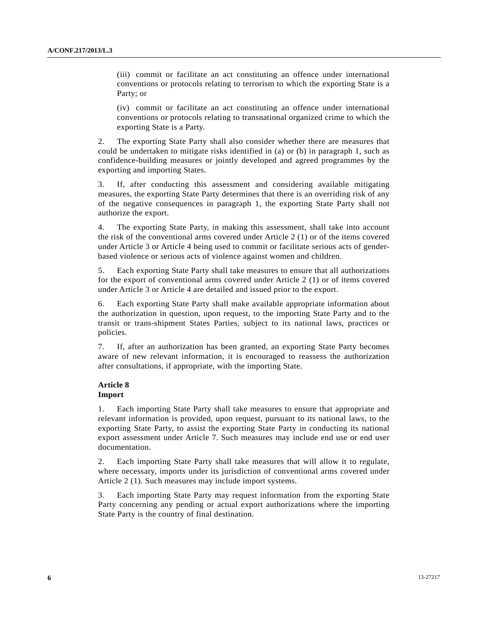(iii) commit or facilitate an act constituting an offence under international conventions or protocols relating to terrorism to which the exporting State is a Party; or

 (iv) commit or facilitate an act constituting an offence under international conventions or protocols relating to transnational organized crime to which the exporting State is a Party.

2. The exporting State Party shall also consider whether there are measures that could be undertaken to mitigate risks identified in (a) or (b) in paragraph 1, such as confidence-building measures or jointly developed and agreed programmes by the exporting and importing States.

3. If, after conducting this assessment and considering available mitigating measures, the exporting State Party determines that there is an overriding risk of any of the negative consequences in paragraph 1, the exporting State Party shall not authorize the export.

4. The exporting State Party, in making this assessment, shall take into account the risk of the conventional arms covered under Article 2 (1) or of the items covered under Article 3 or Article 4 being used to commit or facilitate serious acts of genderbased violence or serious acts of violence against women and children.

5. Each exporting State Party shall take measures to ensure that all authorizations for the export of conventional arms covered under Article 2 (1) or of items covered under Article 3 or Article 4 are detailed and issued prior to the export.

6. Each exporting State Party shall make available appropriate information about the authorization in question, upon request, to the importing State Party and to the transit or trans-shipment States Parties, subject to its national laws, practices or policies.

7. If, after an authorization has been granted, an exporting State Party becomes aware of new relevant information, it is encouraged to reassess the authorization after consultations, if appropriate, with the importing State.

# **Article 8 Import**

1. Each importing State Party shall take measures to ensure that appropriate and relevant information is provided, upon request, pursuant to its national laws, to the exporting State Party, to assist the exporting State Party in conducting its national export assessment under Article 7. Such measures may include end use or end user documentation.

2. Each importing State Party shall take measures that will allow it to regulate, where necessary, imports under its jurisdiction of conventional arms covered under Article 2 (1). Such measures may include import systems.

3. Each importing State Party may request information from the exporting State Party concerning any pending or actual export authorizations where the importing State Party is the country of final destination.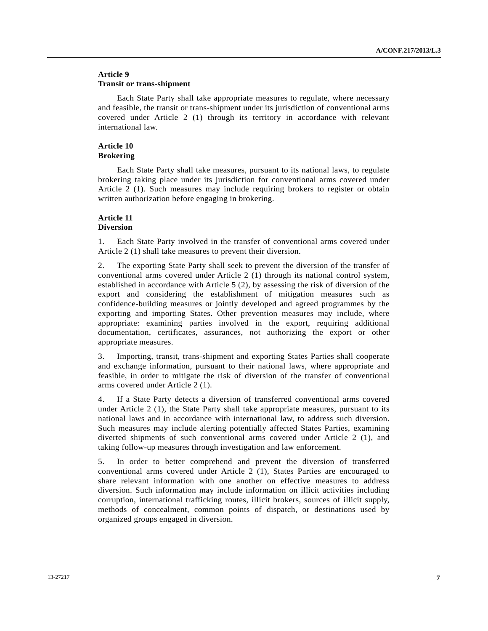# **Article 9 Transit or trans-shipment**

 Each State Party shall take appropriate measures to regulate, where necessary and feasible, the transit or trans-shipment under its jurisdiction of conventional arms covered under Article 2 (1) through its territory in accordance with relevant international law.

# **Article 10 Brokering**

 Each State Party shall take measures, pursuant to its national laws, to regulate brokering taking place under its jurisdiction for conventional arms covered under Article 2 (1). Such measures may include requiring brokers to register or obtain written authorization before engaging in brokering.

#### **Article 11 Diversion**

1. Each State Party involved in the transfer of conventional arms covered under Article 2 (1) shall take measures to prevent their diversion.

2. The exporting State Party shall seek to prevent the diversion of the transfer of conventional arms covered under Article 2 (1) through its national control system, established in accordance with Article 5 (2), by assessing the risk of diversion of the export and considering the establishment of mitigation measures such as confidence-building measures or jointly developed and agreed programmes by the exporting and importing States. Other prevention measures may include, where appropriate: examining parties involved in the export, requiring additional documentation, certificates, assurances, not authorizing the export or other appropriate measures.

3. Importing, transit, trans-shipment and exporting States Parties shall cooperate and exchange information, pursuant to their national laws, where appropriate and feasible, in order to mitigate the risk of diversion of the transfer of conventional arms covered under Article 2 (1).

4. If a State Party detects a diversion of transferred conventional arms covered under Article 2 (1), the State Party shall take appropriate measures, pursuant to its national laws and in accordance with international law, to address such diversion. Such measures may include alerting potentially affected States Parties, examining diverted shipments of such conventional arms covered under Article 2 (1), and taking follow-up measures through investigation and law enforcement.

5. In order to better comprehend and prevent the diversion of transferred conventional arms covered under Article 2 (1), States Parties are encouraged to share relevant information with one another on effective measures to address diversion. Such information may include information on illicit activities including corruption, international trafficking routes, illicit brokers, sources of illicit supply, methods of concealment, common points of dispatch, or destinations used by organized groups engaged in diversion.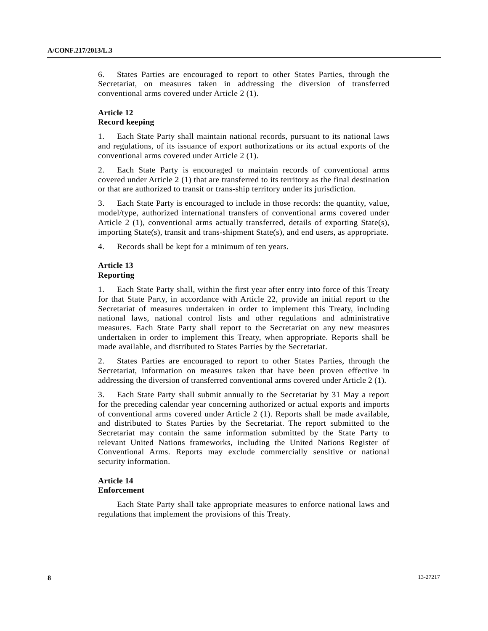6. States Parties are encouraged to report to other States Parties, through the Secretariat, on measures taken in addressing the diversion of transferred conventional arms covered under Article 2 (1).

# **Article 12 Record keeping**

1. Each State Party shall maintain national records, pursuant to its national laws and regulations, of its issuance of export authorizations or its actual exports of the conventional arms covered under Article 2 (1).

2. Each State Party is encouraged to maintain records of conventional arms covered under Article 2 (1) that are transferred to its territory as the final destination or that are authorized to transit or trans-ship territory under its jurisdiction.

3. Each State Party is encouraged to include in those records: the quantity, value, model/type, authorized international transfers of conventional arms covered under Article 2 (1), conventional arms actually transferred, details of exporting State(s), importing State(s), transit and trans-shipment State(s), and end users, as appropriate.

4. Records shall be kept for a minimum of ten years.

#### **Article 13 Reporting**

1. Each State Party shall, within the first year after entry into force of this Treaty for that State Party, in accordance with Article 22, provide an initial report to the Secretariat of measures undertaken in order to implement this Treaty, including national laws, national control lists and other regulations and administrative measures. Each State Party shall report to the Secretariat on any new measures undertaken in order to implement this Treaty, when appropriate. Reports shall be made available, and distributed to States Parties by the Secretariat.

2. States Parties are encouraged to report to other States Parties, through the Secretariat, information on measures taken that have been proven effective in addressing the diversion of transferred conventional arms covered under Article 2 (1).

3. Each State Party shall submit annually to the Secretariat by 31 May a report for the preceding calendar year concerning authorized or actual exports and imports of conventional arms covered under Article 2 (1). Reports shall be made available, and distributed to States Parties by the Secretariat. The report submitted to the Secretariat may contain the same information submitted by the State Party to relevant United Nations frameworks, including the United Nations Register of Conventional Arms. Reports may exclude commercially sensitive or national security information.

#### **Article 14 Enforcement**

 Each State Party shall take appropriate measures to enforce national laws and regulations that implement the provisions of this Treaty.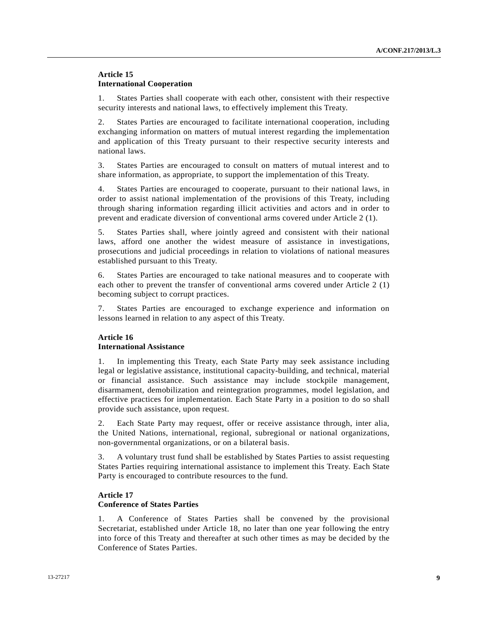# **Article 15 International Cooperation**

1. States Parties shall cooperate with each other, consistent with their respective security interests and national laws, to effectively implement this Treaty.

2. States Parties are encouraged to facilitate international cooperation, including exchanging information on matters of mutual interest regarding the implementation and application of this Treaty pursuant to their respective security interests and national laws.

3. States Parties are encouraged to consult on matters of mutual interest and to share information, as appropriate, to support the implementation of this Treaty.

4. States Parties are encouraged to cooperate, pursuant to their national laws, in order to assist national implementation of the provisions of this Treaty, including through sharing information regarding illicit activities and actors and in order to prevent and eradicate diversion of conventional arms covered under Article 2 (1).

5. States Parties shall, where jointly agreed and consistent with their national laws, afford one another the widest measure of assistance in investigations, prosecutions and judicial proceedings in relation to violations of national measures established pursuant to this Treaty.

6. States Parties are encouraged to take national measures and to cooperate with each other to prevent the transfer of conventional arms covered under Article 2 (1) becoming subject to corrupt practices.

7. States Parties are encouraged to exchange experience and information on lessons learned in relation to any aspect of this Treaty.

# **Article 16**

#### **International Assistance**

1. In implementing this Treaty, each State Party may seek assistance including legal or legislative assistance, institutional capacity-building, and technical, material or financial assistance. Such assistance may include stockpile management, disarmament, demobilization and reintegration programmes, model legislation, and effective practices for implementation. Each State Party in a position to do so shall provide such assistance, upon request.

2. Each State Party may request, offer or receive assistance through, inter alia, the United Nations, international, regional, subregional or national organizations, non-governmental organizations, or on a bilateral basis.

3. A voluntary trust fund shall be established by States Parties to assist requesting States Parties requiring international assistance to implement this Treaty. Each State Party is encouraged to contribute resources to the fund.

# **Article 17**

#### **Conference of States Parties**

1. A Conference of States Parties shall be convened by the provisional Secretariat, established under Article 18, no later than one year following the entry into force of this Treaty and thereafter at such other times as may be decided by the Conference of States Parties.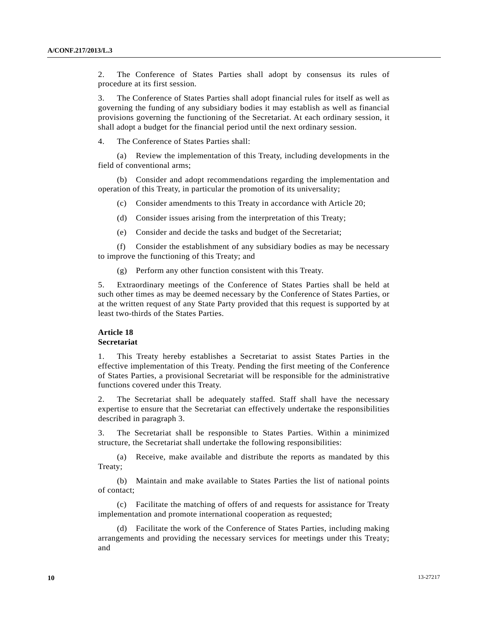2. The Conference of States Parties shall adopt by consensus its rules of procedure at its first session.

3. The Conference of States Parties shall adopt financial rules for itself as well as governing the funding of any subsidiary bodies it may establish as well as financial provisions governing the functioning of the Secretariat. At each ordinary session, it shall adopt a budget for the financial period until the next ordinary session.

4. The Conference of States Parties shall:

 (a) Review the implementation of this Treaty, including developments in the field of conventional arms;

 (b) Consider and adopt recommendations regarding the implementation and operation of this Treaty, in particular the promotion of its universality;

(c) Consider amendments to this Treaty in accordance with Article 20;

(d) Consider issues arising from the interpretation of this Treaty;

(e) Consider and decide the tasks and budget of the Secretariat;

 (f) Consider the establishment of any subsidiary bodies as may be necessary to improve the functioning of this Treaty; and

(g) Perform any other function consistent with this Treaty.

5. Extraordinary meetings of the Conference of States Parties shall be held at such other times as may be deemed necessary by the Conference of States Parties, or at the written request of any State Party provided that this request is supported by at least two-thirds of the States Parties.

#### **Article 18 Secretariat**

1. This Treaty hereby establishes a Secretariat to assist States Parties in the effective implementation of this Treaty. Pending the first meeting of the Conference of States Parties, a provisional Secretariat will be responsible for the administrative functions covered under this Treaty.

2. The Secretariat shall be adequately staffed. Staff shall have the necessary expertise to ensure that the Secretariat can effectively undertake the responsibilities described in paragraph 3.

3. The Secretariat shall be responsible to States Parties. Within a minimized structure, the Secretariat shall undertake the following responsibilities:

 (a) Receive, make available and distribute the reports as mandated by this Treaty;

 (b) Maintain and make available to States Parties the list of national points of contact;

 (c) Facilitate the matching of offers of and requests for assistance for Treaty implementation and promote international cooperation as requested;

 (d) Facilitate the work of the Conference of States Parties, including making arrangements and providing the necessary services for meetings under this Treaty; and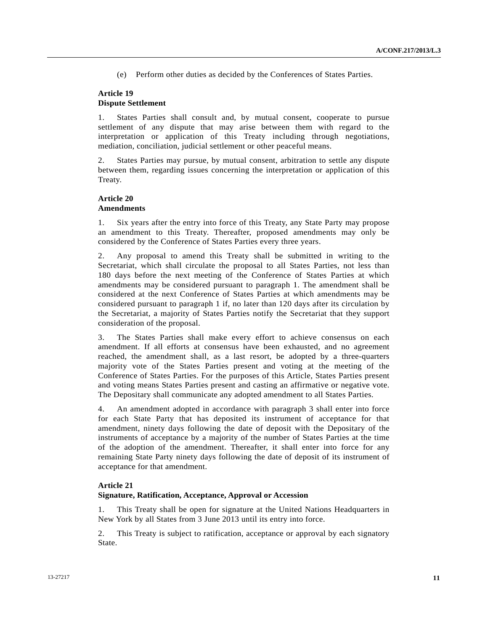(e) Perform other duties as decided by the Conferences of States Parties.

# **Article 19 Dispute Settlement**

1. States Parties shall consult and, by mutual consent, cooperate to pursue settlement of any dispute that may arise between them with regard to the interpretation or application of this Treaty including through negotiations, mediation, conciliation, judicial settlement or other peaceful means.

2. States Parties may pursue, by mutual consent, arbitration to settle any dispute between them, regarding issues concerning the interpretation or application of this Treaty.

#### **Article 20 Amendments**

1. Six years after the entry into force of this Treaty, any State Party may propose an amendment to this Treaty. Thereafter, proposed amendments may only be considered by the Conference of States Parties every three years.

2. Any proposal to amend this Treaty shall be submitted in writing to the Secretariat, which shall circulate the proposal to all States Parties, not less than 180 days before the next meeting of the Conference of States Parties at which amendments may be considered pursuant to paragraph 1. The amendment shall be considered at the next Conference of States Parties at which amendments may be considered pursuant to paragraph 1 if, no later than 120 days after its circulation by the Secretariat, a majority of States Parties notify the Secretariat that they support consideration of the proposal.

3. The States Parties shall make every effort to achieve consensus on each amendment. If all efforts at consensus have been exhausted, and no agreement reached, the amendment shall, as a last resort, be adopted by a three-quarters majority vote of the States Parties present and voting at the meeting of the Conference of States Parties. For the purposes of this Article, States Parties present and voting means States Parties present and casting an affirmative or negative vote. The Depositary shall communicate any adopted amendment to all States Parties.

4. An amendment adopted in accordance with paragraph 3 shall enter into force for each State Party that has deposited its instrument of acceptance for that amendment, ninety days following the date of deposit with the Depositary of the instruments of acceptance by a majority of the number of States Parties at the time of the adoption of the amendment. Thereafter, it shall enter into force for any remaining State Party ninety days following the date of deposit of its instrument of acceptance for that amendment.

# **Article 21**

#### **Signature, Ratification, Acceptance, Approval or Accession**

1. This Treaty shall be open for signature at the United Nations Headquarters in New York by all States from 3 June 2013 until its entry into force.

2. This Treaty is subject to ratification, acceptance or approval by each signatory State.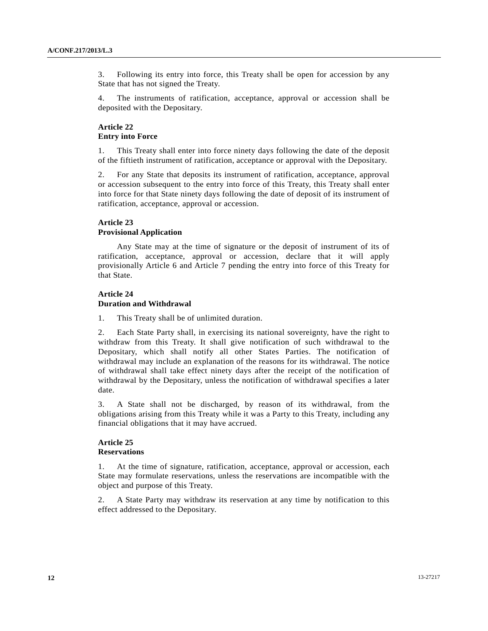3. Following its entry into force, this Treaty shall be open for accession by any State that has not signed the Treaty.

4. The instruments of ratification, acceptance, approval or accession shall be deposited with the Depositary.

# **Article 22 Entry into Force**

1. This Treaty shall enter into force ninety days following the date of the deposit of the fiftieth instrument of ratification, acceptance or approval with the Depositary.

2. For any State that deposits its instrument of ratification, acceptance, approval or accession subsequent to the entry into force of this Treaty, this Treaty shall enter into force for that State ninety days following the date of deposit of its instrument of ratification, acceptance, approval or accession.

# **Article 23 Provisional Application**

 Any State may at the time of signature or the deposit of instrument of its of ratification, acceptance, approval or accession, declare that it will apply provisionally Article 6 and Article 7 pending the entry into force of this Treaty for that State.

# **Article 24 Duration and Withdrawal**

1. This Treaty shall be of unlimited duration.

2. Each State Party shall, in exercising its national sovereignty, have the right to withdraw from this Treaty. It shall give notification of such withdrawal to the Depositary, which shall notify all other States Parties. The notification of withdrawal may include an explanation of the reasons for its withdrawal. The notice of withdrawal shall take effect ninety days after the receipt of the notification of withdrawal by the Depositary, unless the notification of withdrawal specifies a later date.

3. A State shall not be discharged, by reason of its withdrawal, from the obligations arising from this Treaty while it was a Party to this Treaty, including any financial obligations that it may have accrued.

#### **Article 25 Reservations**

1. At the time of signature, ratification, acceptance, approval or accession, each State may formulate reservations, unless the reservations are incompatible with the object and purpose of this Treaty.

2. A State Party may withdraw its reservation at any time by notification to this effect addressed to the Depositary.